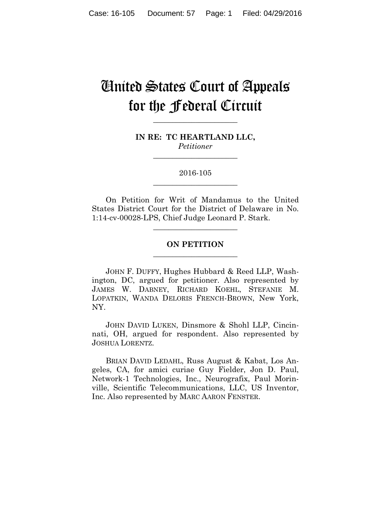# United States Court of Appeals for the Federal Circuit

**IN RE: TC HEARTLAND LLC,** *Petitioner*

**\_\_\_\_\_\_\_\_\_\_\_\_\_\_\_\_\_\_\_\_\_\_** 

**\_\_\_\_\_\_\_\_\_\_\_\_\_\_\_\_\_\_\_\_\_\_** 

## 2016-105 **\_\_\_\_\_\_\_\_\_\_\_\_\_\_\_\_\_\_\_\_\_\_**

On Petition for Writ of Mandamus to the United States District Court for the District of Delaware in No. 1:14-cv-00028-LPS, Chief Judge Leonard P. Stark.

## **ON PETITION \_\_\_\_\_\_\_\_\_\_\_\_\_\_\_\_\_\_\_\_\_\_**

**\_\_\_\_\_\_\_\_\_\_\_\_\_\_\_\_\_\_\_\_\_\_** 

JOHN F. DUFFY, Hughes Hubbard & Reed LLP, Washington, DC, argued for petitioner. Also represented by JAMES W. DABNEY, RICHARD KOEHL, STEFANIE M. LOPATKIN, WANDA DELORIS FRENCH-BROWN, New York, NY.

JOHN DAVID LUKEN, Dinsmore & Shohl LLP, Cincinnati, OH, argued for respondent. Also represented by JOSHUA LORENTZ.

BRIAN DAVID LEDAHL, Russ August & Kabat, Los Angeles, CA, for amici curiae Guy Fielder, Jon D. Paul, Network-1 Technologies, Inc., Neurografix, Paul Morinville, Scientific Telecommunications, LLC, US Inventor, Inc. Also represented by MARC AARON FENSTER.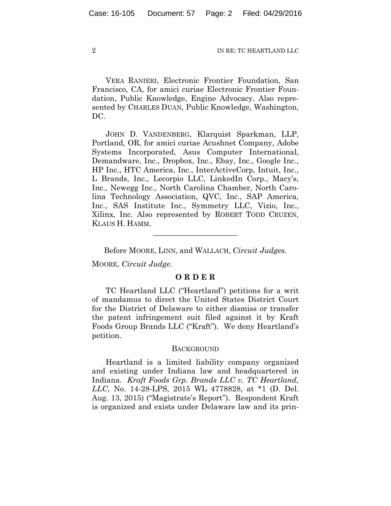VERA RANIERI, Electronic Frontier Foundation, San Francisco, CA, for amici curiae Electronic Frontier Foundation, Public Knowledge, Engine Advocacy. Also represented by CHARLES DUAN, Public Knowledge, Washington, DC.

JOHN D. VANDENBERG, Klarquist Sparkman, LLP, Portland, OR, for amici curiae Acushnet Company, Adobe Systems Incorporated, Asus Computer International, Demandware, Inc., Dropbox, Inc., Ebay, Inc., Google Inc., HP Inc., HTC America, Inc., InterActiveCorp, Intuit, Inc., L Brands, Inc., Lecorpio LLC, LinkedIn Corp., Macy's, Inc., Newegg Inc., North Carolina Chamber, North Carolina Technology Association, QVC, Inc., SAP America, Inc., SAS Institute Inc., Symmetry LLC, Vizio, Inc., Xilinx, Inc. Also represented by ROBERT TODD CRUZEN, KLAUS H. HAMM.

Before MOORE, LINN, and WALLACH, *Circuit Judges.*

**\_\_\_\_\_\_\_\_\_\_\_\_\_\_\_\_\_\_\_\_\_\_** 

MOORE, *Circuit Judge.*

### **O R D E R**

TC Heartland LLC ("Heartland") petitions for a writ of mandamus to direct the United States District Court for the District of Delaware to either dismiss or transfer the patent infringement suit filed against it by Kraft Foods Group Brands LLC ("Kraft"). We deny Heartland's petition.

#### **BACKGROUND**

Heartland is a limited liability company organized and existing under Indiana law and headquartered in Indiana. *Kraft Foods Grp. Brands LLC v. TC Heartland, LLC*, No. 14-28-LPS, 2015 WL 4778828, at \*1 (D. Del. Aug. 13, 2015) ("Magistrate's Report"). Respondent Kraft is organized and exists under Delaware law and its prin-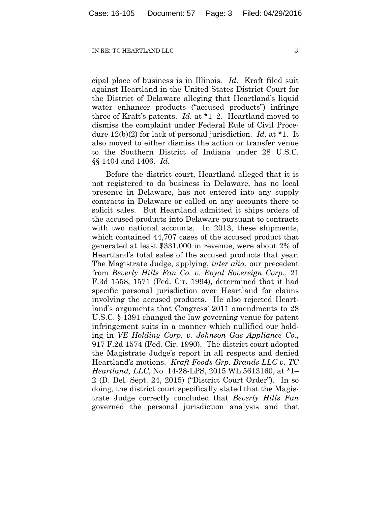cipal place of business is in Illinois. *Id*. Kraft filed suit against Heartland in the United States District Court for the District of Delaware alleging that Heartland's liquid water enhancer products ("accused products") infringe three of Kraft's patents. *Id*. at \*1–2. Heartland moved to dismiss the complaint under Federal Rule of Civil Procedure 12(b)(2) for lack of personal jurisdiction. *Id*. at \*1. It also moved to either dismiss the action or transfer venue to the Southern District of Indiana under 28 U.S.C. §§ 1404 and 1406. *Id*.

Before the district court, Heartland alleged that it is not registered to do business in Delaware, has no local presence in Delaware, has not entered into any supply contracts in Delaware or called on any accounts there to solicit sales. But Heartland admitted it ships orders of the accused products into Delaware pursuant to contracts with two national accounts. In 2013, these shipments, which contained 44,707 cases of the accused product that generated at least \$331,000 in revenue, were about 2% of Heartland's total sales of the accused products that year. The Magistrate Judge, applying, *inter alia*, our precedent from *Beverly Hills Fan Co. v. Royal Sovereign Corp.*, 21 F.3d 1558, 1571 (Fed. Cir. 1994), determined that it had specific personal jurisdiction over Heartland for claims involving the accused products. He also rejected Heartland's arguments that Congress' 2011 amendments to 28 U.S.C. § 1391 changed the law governing venue for patent infringement suits in a manner which nullified our holding in *VE Holding Corp. v. Johnson Gas Appliance Co.*, 917 F.2d 1574 (Fed. Cir. 1990). The district court adopted the Magistrate Judge's report in all respects and denied Heartland's motions. *Kraft Foods Grp. Brands LLC v. TC Heartland, LLC*, No. 14-28-LPS, 2015 WL 5613160, at \*1– 2 (D. Del. Sept. 24, 2015) ("District Court Order"). In so doing, the district court specifically stated that the Magistrate Judge correctly concluded that *Beverly Hills Fan* governed the personal jurisdiction analysis and that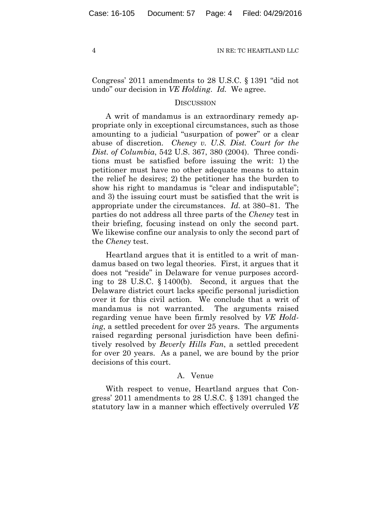Congress' 2011 amendments to 28 U.S.C. § 1391 "did not undo" our decision in *VE Holding*. *Id.* We agree.

#### **DISCUSSION**

A writ of mandamus is an extraordinary remedy appropriate only in exceptional circumstances, such as those amounting to a judicial "usurpation of power" or a clear abuse of discretion. *Cheney v. U.S. Dist. Court for the Dist. of Columbia*, 542 U.S. 367, 380 (2004). Three conditions must be satisfied before issuing the writ: 1) the petitioner must have no other adequate means to attain the relief he desires; 2) the petitioner has the burden to show his right to mandamus is "clear and indisputable"; and 3) the issuing court must be satisfied that the writ is appropriate under the circumstances. *Id.* at 380–81. The parties do not address all three parts of the *Cheney* test in their briefing, focusing instead on only the second part. We likewise confine our analysis to only the second part of the *Cheney* test.

Heartland argues that it is entitled to a writ of mandamus based on two legal theories. First, it argues that it does not "reside" in Delaware for venue purposes according to 28 U.S.C. § 1400(b). Second, it argues that the Delaware district court lacks specific personal jurisdiction over it for this civil action. We conclude that a writ of mandamus is not warranted. The arguments raised regarding venue have been firmly resolved by *VE Holding*, a settled precedent for over 25 years. The arguments raised regarding personal jurisdiction have been definitively resolved by *Beverly Hills Fan*, a settled precedent for over 20 years. As a panel, we are bound by the prior decisions of this court.

### A. Venue

With respect to venue, Heartland argues that Congress' 2011 amendments to 28 U.S.C. § 1391 changed the statutory law in a manner which effectively overruled *VE*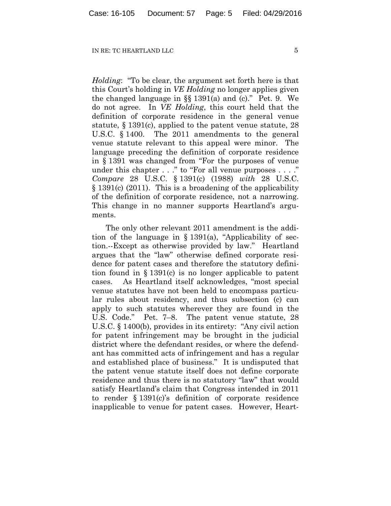*Holding*: "To be clear, the argument set forth here is that this Court's holding in *VE Holding* no longer applies given the changed language in §§ 1391(a) and (c)." Pet. 9. We do not agree. In *VE Holding*, this court held that the definition of corporate residence in the general venue statute, § 1391(c), applied to the patent venue statute, 28 U.S.C. § 1400. The 2011 amendments to the general venue statute relevant to this appeal were minor. The language preceding the definition of corporate residence in § 1391 was changed from "For the purposes of venue under this chapter . . ." to "For all venue purposes . . . ." *Compare* 28 U.S.C. § 1391(c) (1988) *with* 28 U.S.C. § 1391(c) (2011). This is a broadening of the applicability of the definition of corporate residence, not a narrowing. This change in no manner supports Heartland's arguments.

The only other relevant 2011 amendment is the addition of the language in  $\S 1391(a)$ , "Applicability of section.--Except as otherwise provided by law." Heartland argues that the "law" otherwise defined corporate residence for patent cases and therefore the statutory definition found in § 1391(c) is no longer applicable to patent cases. As Heartland itself acknowledges, "most special venue statutes have not been held to encompass particular rules about residency, and thus subsection (c) can apply to such statutes wherever they are found in the U.S. Code." Pet. 7–8.The patent venue statute, 28 U.S.C. § 1400(b), provides in its entirety: "Any civil action for patent infringement may be brought in the judicial district where the defendant resides, or where the defendant has committed acts of infringement and has a regular and established place of business." It is undisputed that the patent venue statute itself does not define corporate residence and thus there is no statutory "law" that would satisfy Heartland's claim that Congress intended in 2011 to render § 1391(c)'s definition of corporate residence inapplicable to venue for patent cases. However, Heart-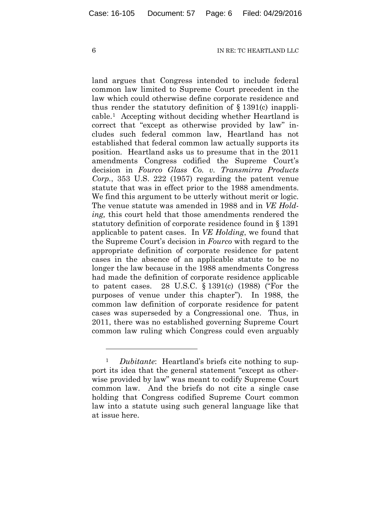land argues that Congress intended to include federal common law limited to Supreme Court precedent in the law which could otherwise define corporate residence and thus render the statutory definition of  $\S$  1391(c) inapplicable.1 Accepting without deciding whether Heartland is correct that "except as otherwise provided by law" includes such federal common law, Heartland has not established that federal common law actually supports its position. Heartland asks us to presume that in the 2011 amendments Congress codified the Supreme Court's decision in *Fourco Glass Co. v. Transmirra Products Corp.*, 353 U.S. 222 (1957) regarding the patent venue statute that was in effect prior to the 1988 amendments. We find this argument to be utterly without merit or logic. The venue statute was amended in 1988 and in *VE Holding,* this court held that those amendments rendered the statutory definition of corporate residence found in § 1391 applicable to patent cases. In *VE Holding*, we found that the Supreme Court's decision in *Fourco* with regard to the appropriate definition of corporate residence for patent cases in the absence of an applicable statute to be no longer the law because in the 1988 amendments Congress had made the definition of corporate residence applicable to patent cases. 28 U.S.C. § 1391(c) (1988) ("For the purposes of venue under this chapter"). In 1988, the common law definition of corporate residence for patent cases was superseded by a Congressional one. Thus, in 2011, there was no established governing Supreme Court common law ruling which Congress could even arguably

<u>.</u>

*Dubitante*: Heartland's briefs cite nothing to support its idea that the general statement "except as otherwise provided by law" was meant to codify Supreme Court common law. And the briefs do not cite a single case holding that Congress codified Supreme Court common law into a statute using such general language like that at issue here.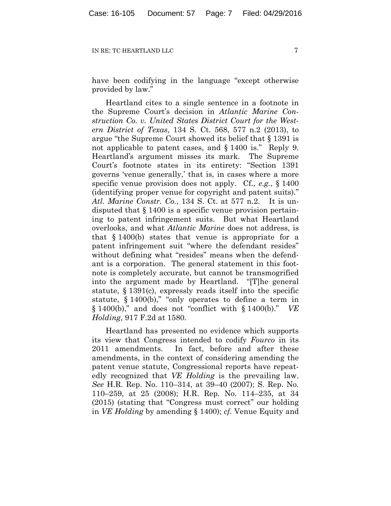have been codifying in the language "except otherwise provided by law."

Heartland cites to a single sentence in a footnote in the Supreme Court's decision in *Atlantic Marine Construction Co. v. United States District Court for the Western District of Texas*, 134 S. Ct. 568, 577 n.2 (2013), to argue "the Supreme Court showed its belief that § 1391 is not applicable to patent cases, and § 1400 is." Reply 9. Heartland's argument misses its mark. The Supreme Court's footnote states in its entirety: "Section 1391 governs 'venue generally,' that is, in cases where a more specific venue provision does not apply. Cf., *e.g.*, § 1400 (identifying proper venue for copyright and patent suits)." *Atl. Marine Constr. Co.*, 134 S. Ct. at 577 n.2. It is undisputed that § 1400 is a specific venue provision pertaining to patent infringement suits. But what Heartland overlooks, and what *Atlantic Marine* does not address, is that § 1400(b) states that venue is appropriate for a patent infringement suit "where the defendant resides" without defining what "resides" means when the defendant is a corporation. The general statement in this footnote is completely accurate, but cannot be transmogrified into the argument made by Heartland. "[T]he general statute, § 1391(c), expressly reads itself into the specific statute, § 1400(b)," "only operates to define a term in § 1400(b)," and does not "conflict with § 1400(b)." *VE Holding*, 917 F.2d at 1580*.*

Heartland has presented no evidence which supports its view that Congress intended to codify *Fourco* in its 2011 amendments. In fact, before and after these amendments, in the context of considering amending the patent venue statute, Congressional reports have repeatedly recognized that *VE Holding* is the prevailing law. *See* H.R. Rep. No. 110–314, at 39–40 (2007); S. Rep. No. 110–259, at 25 (2008); H.R. Rep. No. 114–235, at 34 (2015) (stating that "Congress must correct" our holding in *VE Holding* by amending § 1400); *cf.* Venue Equity and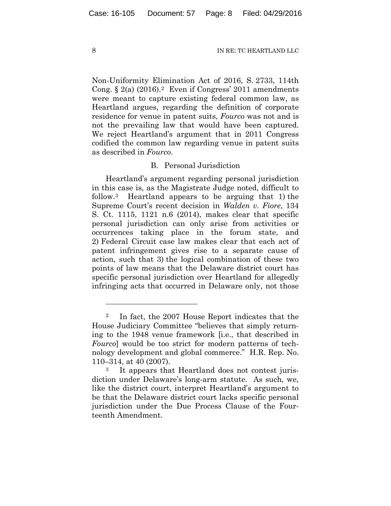Non-Uniformity Elimination Act of 2016, S. 2733, 114th Cong.  $\S 2(a)$  (2016).<sup>2</sup> Even if Congress' 2011 amendments were meant to capture existing federal common law, as Heartland argues, regarding the definition of corporate residence for venue in patent suits, *Fourco* was not and is not the prevailing law that would have been captured. We reject Heartland's argument that in 2011 Congress codified the common law regarding venue in patent suits as described in *Fourco*.

## B. Personal Jurisdiction

Heartland's argument regarding personal jurisdiction in this case is, as the Magistrate Judge noted, difficult to follow.3 Heartland appears to be arguing that 1) the Supreme Court's recent decision in *Walden v. Fiore*, 134 S. Ct. 1115, 1121 n.6 (2014), makes clear that specific personal jurisdiction can only arise from activities or occurrences taking place in the forum state, and 2) Federal Circuit case law makes clear that each act of patent infringement gives rise to a separate cause of action, such that 3) the logical combination of these two points of law means that the Delaware district court has specific personal jurisdiction over Heartland for allegedly infringing acts that occurred in Delaware only, not those

1

<sup>2</sup> In fact, the 2007 House Report indicates that the House Judiciary Committee "believes that simply returning to the 1948 venue framework [i.e., that described in *Fourco*] would be too strict for modern patterns of technology development and global commerce." H.R. Rep. No. 110–314, at 40 (2007).<br><sup>3</sup> It appears that Heartland does not contest juris-

diction under Delaware's long-arm statute. As such, we, like the district court, interpret Heartland's argument to be that the Delaware district court lacks specific personal jurisdiction under the Due Process Clause of the Fourteenth Amendment.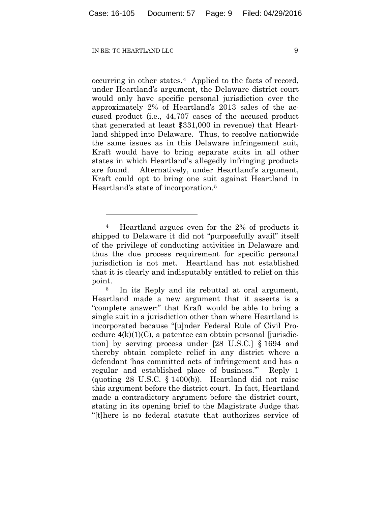<u>.</u>

occurring in other states.4 Applied to the facts of record, under Heartland's argument, the Delaware district court would only have specific personal jurisdiction over the approximately 2% of Heartland's 2013 sales of the accused product (i.e., 44,707 cases of the accused product that generated at least \$331,000 in revenue) that Heartland shipped into Delaware. Thus, to resolve nationwide the same issues as in this Delaware infringement suit, Kraft would have to bring separate suits in all other states in which Heartland's allegedly infringing products are found. Alternatively, under Heartland's argument, Kraft could opt to bring one suit against Heartland in Heartland's state of incorporation.5

<sup>4</sup> Heartland argues even for the 2% of products it shipped to Delaware it did not "purposefully avail" itself of the privilege of conducting activities in Delaware and thus the due process requirement for specific personal jurisdiction is not met. Heartland has not established that it is clearly and indisputably entitled to relief on this point.

<sup>&</sup>lt;sup>5</sup> In its Reply and its rebuttal at oral argument, Heartland made a new argument that it asserts is a "complete answer:" that Kraft would be able to bring a single suit in a jurisdiction other than where Heartland is incorporated because "[u]nder Federal Rule of Civil Procedure  $4(k)(1)(C)$ , a patentee can obtain personal [jurisdiction] by serving process under [28 U.S.C.] § 1694 and thereby obtain complete relief in any district where a defendant 'has committed acts of infringement and has a regular and established place of business.'" Reply 1 (quoting 28 U.S.C. § 1400(b)). Heartland did not raise this argument before the district court. In fact, Heartland made a contradictory argument before the district court, stating in its opening brief to the Magistrate Judge that "[t]here is no federal statute that authorizes service of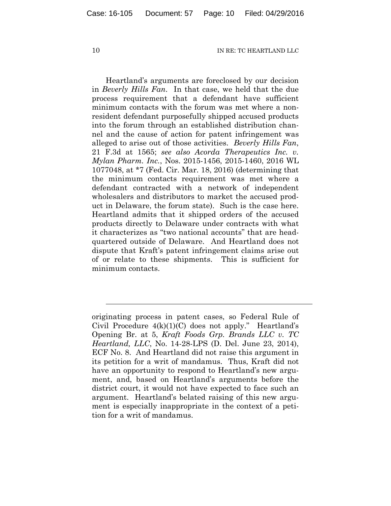Heartland's arguments are foreclosed by our decision in *Beverly Hills Fan*. In that case, we held that the due process requirement that a defendant have sufficient minimum contacts with the forum was met where a nonresident defendant purposefully shipped accused products into the forum through an established distribution channel and the cause of action for patent infringement was alleged to arise out of those activities. *Beverly Hills Fan*, 21 F.3d at 1565; *see also Acorda Therapeutics Inc. v. Mylan Pharm. Inc.*, Nos. 2015-1456, 2015-1460, 2016 WL 1077048, at \*7 (Fed. Cir. Mar. 18, 2016) (determining that the minimum contacts requirement was met where a defendant contracted with a network of independent wholesalers and distributors to market the accused product in Delaware, the forum state). Such is the case here. Heartland admits that it shipped orders of the accused products directly to Delaware under contracts with what it characterizes as "two national accounts" that are headquartered outside of Delaware. And Heartland does not dispute that Kraft's patent infringement claims arise out of or relate to these shipments. This is sufficient for minimum contacts.

l

originating process in patent cases, so Federal Rule of Civil Procedure  $4(k)(1)(C)$  does not apply." Heartland's Opening Br. at 5, *Kraft Foods Grp. Brands LLC v. TC Heartland, LLC*, No. 14-28-LPS (D. Del. June 23, 2014), ECF No. 8. And Heartland did not raise this argument in its petition for a writ of mandamus. Thus, Kraft did not have an opportunity to respond to Heartland's new argument, and, based on Heartland's arguments before the district court, it would not have expected to face such an argument. Heartland's belated raising of this new argument is especially inappropriate in the context of a petition for a writ of mandamus.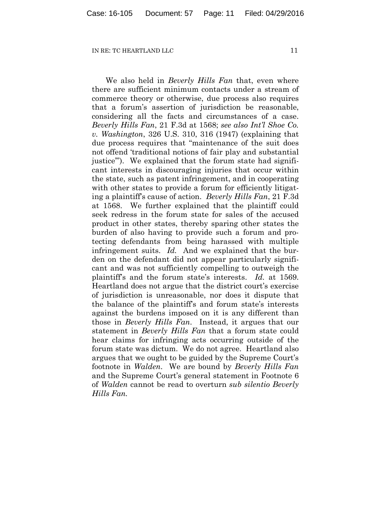We also held in *Beverly Hills Fan* that, even where there are sufficient minimum contacts under a stream of commerce theory or otherwise, due process also requires that a forum's assertion of jurisdiction be reasonable, considering all the facts and circumstances of a case. *Beverly Hills Fan*, 21 F.3d at 1568; *see also Int'l Shoe Co. v. Washington*, 326 U.S. 310, 316 (1947) (explaining that due process requires that "maintenance of the suit does not offend 'traditional notions of fair play and substantial justice'"). We explained that the forum state had significant interests in discouraging injuries that occur within the state, such as patent infringement, and in cooperating with other states to provide a forum for efficiently litigating a plaintiff's cause of action. *Beverly Hills Fan*, 21 F.3d at 1568. We further explained that the plaintiff could seek redress in the forum state for sales of the accused product in other states, thereby sparing other states the burden of also having to provide such a forum and protecting defendants from being harassed with multiple infringement suits. *Id.* And we explained that the burden on the defendant did not appear particularly significant and was not sufficiently compelling to outweigh the plaintiff's and the forum state's interests. *Id.* at 1569. Heartland does not argue that the district court's exercise of jurisdiction is unreasonable, nor does it dispute that the balance of the plaintiff's and forum state's interests against the burdens imposed on it is any different than those in *Beverly Hills Fan*. Instead, it argues that our statement in *Beverly Hills Fan* that a forum state could hear claims for infringing acts occurring outside of the forum state was dictum. We do not agree. Heartland also argues that we ought to be guided by the Supreme Court's footnote in *Walden*. We are bound by *Beverly Hills Fan*  and the Supreme Court's general statement in Footnote 6 of *Walden* cannot be read to overturn *sub silentio Beverly Hills Fan.*